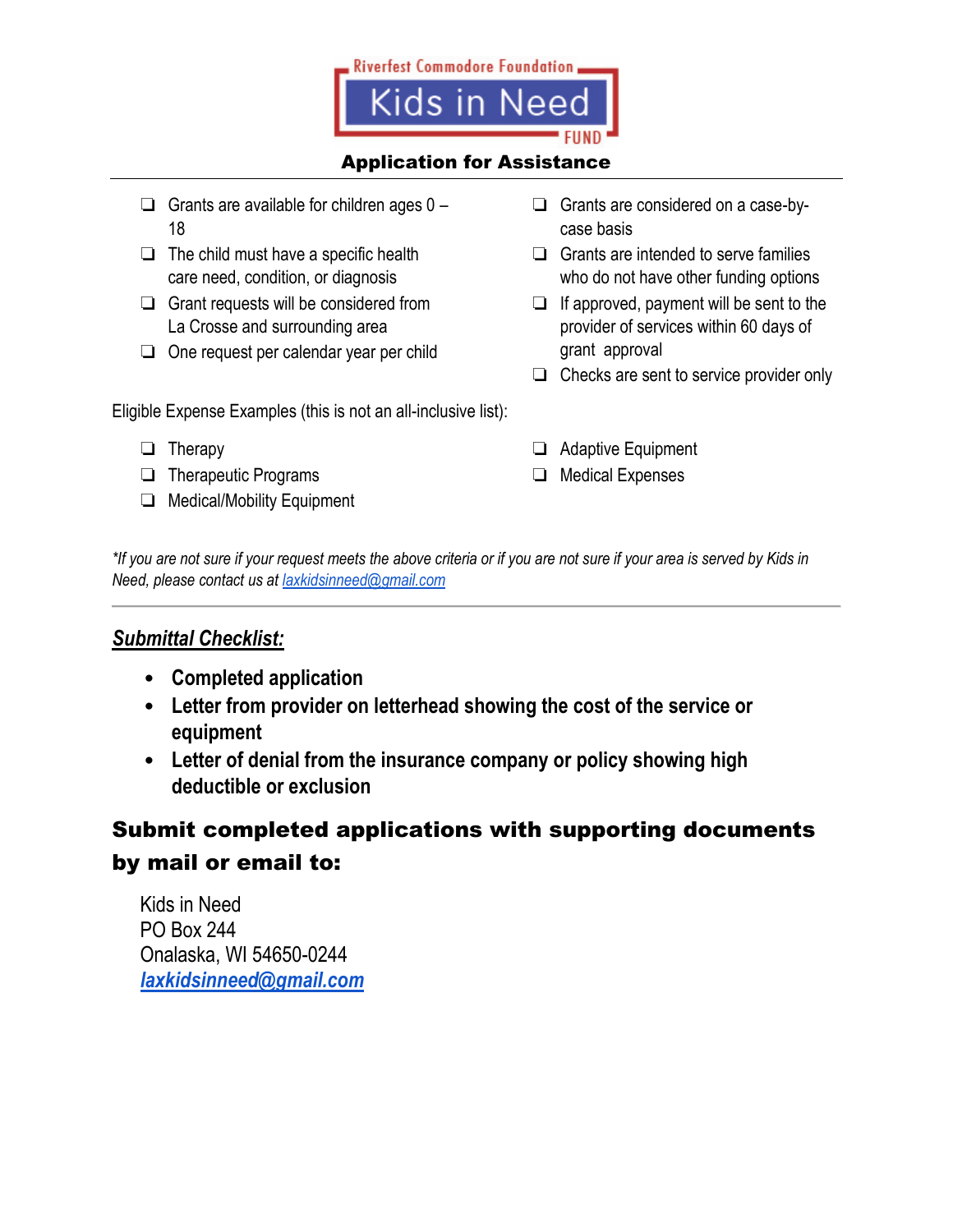

#### Application for Assistance

- ❏ Grants are available for children ages 0 18
- $\Box$  The child must have a specific health care need, condition, or diagnosis
- ❏ Grant requests will be considered from La Crosse and surrounding area
- ❏ One request per calendar year per child

Eligible Expense Examples (this is not an all-inclusive list):

- ❏ Therapy
- ❏ Therapeutic Programs
- ❏ Medical/Mobility Equipment
- ❏ Grants are considered on a case-bycase basis
- ❏ Grants are intended to serve families who do not have other funding options
- ❏ If approved, payment will be sent to the provider of services within 60 days of grant approval
- ❏ Checks are sent to service provider only
- ❏ Adaptive Equipment
- ❏ Medical Expenses

*\*If you are not sure if your request meets the above criteria or if you are not sure if your area is served by Kids in Need, please contact us at [laxkidsinneed@gmail.com](mailto:laxkidsinneed@gmail.com)*

#### *Submittal Checklist:*

- **Completed application**
- **Letter from provider on letterhead showing the cost of the service or equipment**
- **Letter of denial from the insurance company or policy showing high deductible or exclusion**

# Submit completed applications with supporting documents by mail or email to:

Kids in Need PO Box 244 Onalaska, WI 54650-0244 *[laxkidsinneed@gmail.com](mailto:laxkidsinneed@gmail.com)*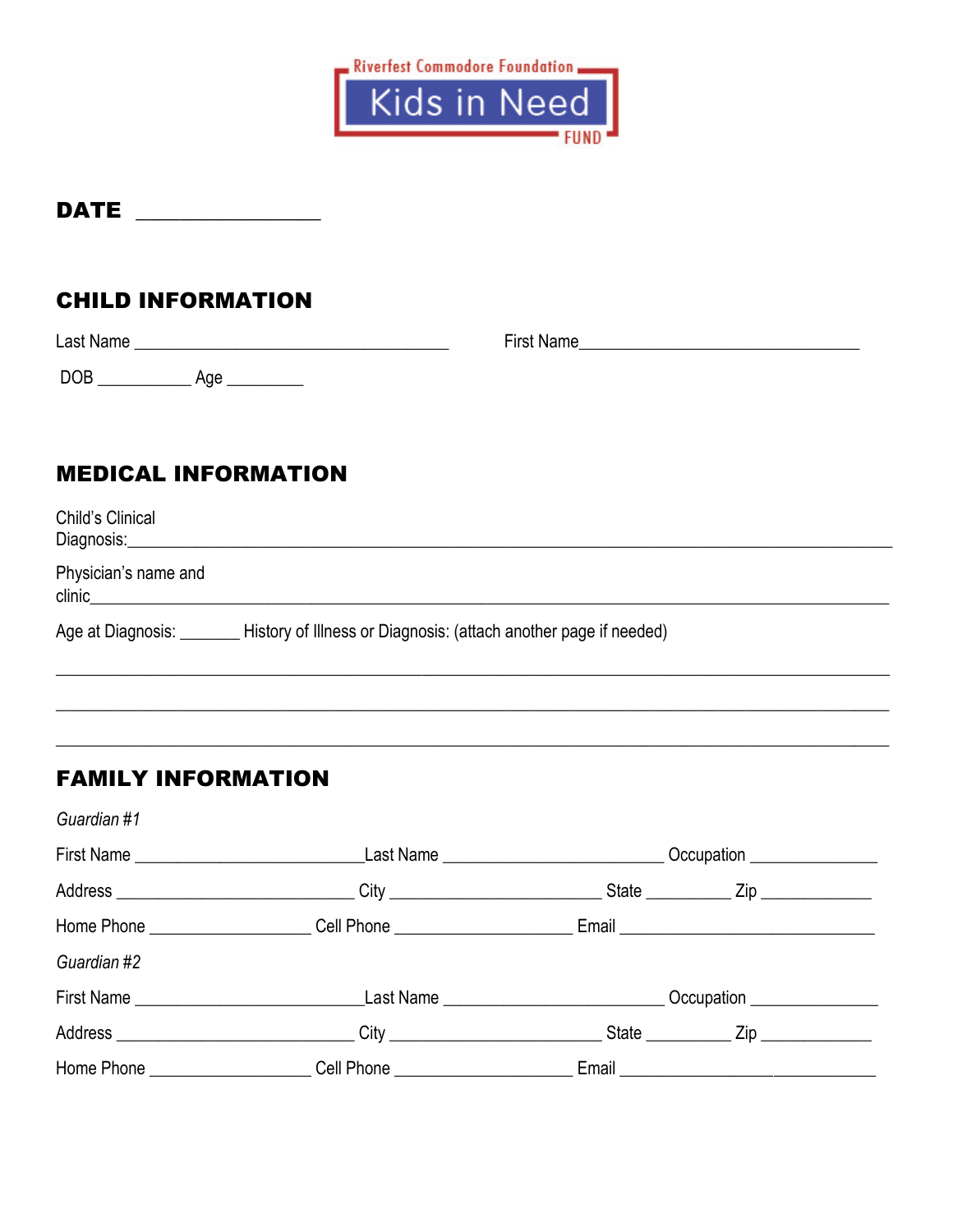

### **CHILD INFORMATION**

| Last Name         | <b>First Name</b> |
|-------------------|-------------------|
| <b>DOB</b><br>Age |                   |

#### **MEDICAL INFORMATION**

| Child's Clinical<br>Diagnosis: |                                                                  |
|--------------------------------|------------------------------------------------------------------|
| Physician's name and<br>clinic |                                                                  |
| Age at Diagnosis:              | History of Illness or Diagnosis: (attach another page if needed) |

#### **FAMILY INFORMATION**

Guardian #1 Address Zip Home Phone Cell Phone Cell Phone Email Guardian #2 Address Zip Home Phone \_\_\_\_\_\_\_\_\_\_\_\_\_\_\_\_\_\_\_\_\_Cell Phone \_\_\_\_\_\_\_\_\_\_\_\_\_\_\_\_\_\_\_\_\_\_\_\_\_\_Email \_\_\_\_\_\_\_\_\_\_\_\_\_\_\_\_\_\_\_\_\_\_\_\_\_\_\_\_\_\_\_\_\_\_\_